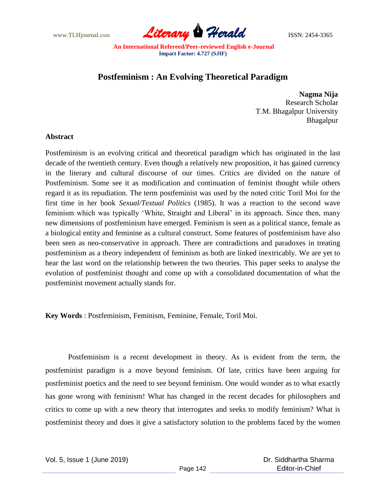

## **Postfeminism : An Evolving Theoretical Paradigm**

**Nagma Nija** Research Scholar T.M. Bhagalpur University Bhagalpur

## **Abstract**

Postfeminism is an evolving critical and theoretical paradigm which has originated in the last decade of the twentieth century. Even though a relatively new proposition, it has gained currency in the literary and cultural discourse of our times. Critics are divided on the nature of Postfeminism. Some see it as modification and continuation of feminist thought while others regard it as its repudiation. The term postfeminist was used by the noted critic Toril Moi for the first time in her book *Sexual/Textual Politics* (1985). It was a reaction to the second wave feminism which was typically "White, Straight and Liberal" in its approach. Since then, many new dimensions of postfeminism have emerged. Feminism is seen as a political stance, female as a biological entity and feminine as a cultural construct. Some features of postfeminism have also been seen as neo-conservative in approach. There are contradictions and paradoxes in treating postfeminism as a theory independent of feminism as both are linked inextricably. We are yet to hear the last word on the relationship between the two theories. This paper seeks to analyse the evolution of postfeminist thought and come up with a consolidated documentation of what the postfeminist movement actually stands for.

**Key Words** : Postfeminism, Feminism, Feminine, Female, Toril Moi.

Postfeminism is a recent development in theory. As is evident from the term, the postfeminist paradigm is a move beyond feminism. Of late, critics have been arguing for postfeminist poetics and the need to see beyond feminism. One would wonder as to what exactly has gone wrong with feminism! What has changed in the recent decades for philosophers and critics to come up with a new theory that interrogates and seeks to modify feminism? What is postfeminist theory and does it give a satisfactory solution to the problems faced by the women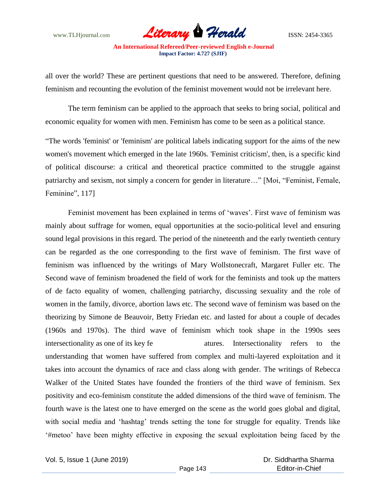

all over the world? These are pertinent questions that need to be answered. Therefore, defining feminism and recounting the evolution of the feminist movement would not be irrelevant here.

The term feminism can be applied to the approach that seeks to bring social, political and economic equality for women with men. Feminism has come to be seen as a political stance.

"The words 'feminist' or 'feminism' are political labels indicating support for the aims of the new women's movement which emerged in the late 1960s. 'Feminist criticism', then, is a specific kind of political discourse: a critical and theoretical practice committed to the struggle against patriarchy and sexism, not simply a concern for gender in literature…" [Moi, "Feminist, Female, Feminine", 117]

Feminist movement has been explained in terms of 'waves'. First wave of feminism was mainly about suffrage for women, equal opportunities at the socio-political level and ensuring sound legal provisions in this regard. The period of the nineteenth and the early twentieth century can be regarded as the one corresponding to the first wave of feminism. The first wave of feminism was influenced by the writings of Mary Wollstonecraft, Margaret Fuller etc. The Second wave of feminism broadened the field of work for the feminists and took up the matters of de facto equality of women, challenging patriarchy, discussing sexuality and the role of women in the family, divorce, abortion laws etc. The second wave of feminism was based on the theorizing by Simone de Beauvoir, Betty Friedan etc. and lasted for about a couple of decades (1960s and 1970s). The third wave of feminism which took shape in the 1990s sees intersectionality as one of its key fe atures. Intersectionality refers to the understanding that women have suffered from complex and multi-layered exploitation and it takes into account the dynamics of race and class along with gender. The writings of Rebecca Walker of the United States have founded the frontiers of the third wave of feminism. Sex positivity and eco-feminism constitute the added dimensions of the third wave of feminism. The fourth wave is the latest one to have emerged on the scene as the world goes global and digital, with social media and 'hashtag' trends setting the tone for struggle for equality. Trends like "#metoo" have been mighty effective in exposing the sexual exploitation being faced by the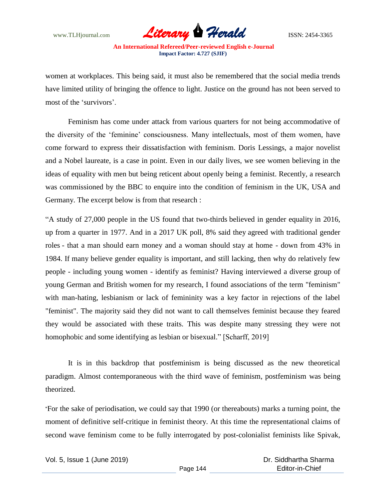

women at workplaces. This being said, it must also be remembered that the social media trends have limited utility of bringing the offence to light. Justice on the ground has not been served to most of the 'survivors'.

Feminism has come under attack from various quarters for not being accommodative of the diversity of the "feminine" consciousness. Many intellectuals, most of them women, have come forward to express their dissatisfaction with feminism. Doris Lessings, a major novelist and a Nobel laureate, is a case in point. Even in our daily lives, we see women believing in the ideas of equality with men but being reticent about openly being a feminist. Recently, a research was commissioned by the BBC to enquire into the condition of feminism in the UK, USA and Germany. The excerpt below is from that research :

"A study of 27,000 people in the US found that two-thirds [believed in gender equality](https://www.psychologytoday.com/gb/blog/gender-questions/201812/good-news-attitudes-moving-toward-gender-equality) in 2016, up from a quarter in 1977. And in a 2017 UK poll, 8% said they [agreed with traditional gender](http://www.bsa.natcen.ac.uk/media/39248/bsa35_gender.pdf)  [roles](http://www.bsa.natcen.ac.uk/media/39248/bsa35_gender.pdf) - that a man should earn money and a woman should stay at home - down from 43% in 1984. If many believe gender equality is important, and still lacking, then why do relatively few people - including young women - identify as feminist? Having interviewed a diverse group of young German and British women [for my research,](https://www.routledge.com/products/isbn/9781409410300) I found associations of the term "feminism" with man-hating, lesbianism or lack of femininity was a key factor in rejections of the label "feminist". The majority said they did not want to call themselves feminist because they feared they would be associated with these traits. This was despite many stressing they were not homophobic and some identifying as lesbian or bisexual." [Scharff, 2019]

It is in this backdrop that postfeminism is being discussed as the new theoretical paradigm. Almost contemporaneous with the third wave of feminism, postfeminism was being theorized.

"For the sake of periodisation, we could say that 1990 (or thereabouts) marks a turning point, the moment of definitive self-critique in feminist theory. At this time the representational claims of second wave feminism come to be fully interrogated by post-colonialist feminists like Spivak,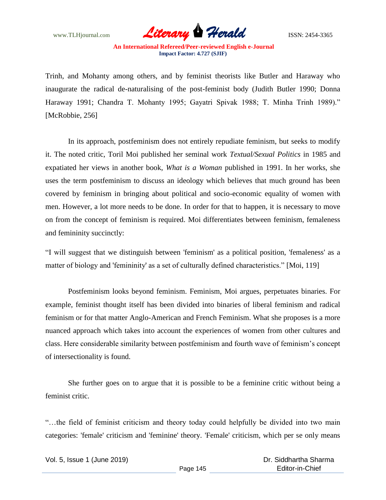

Trinh, and Mohanty among others, and by feminist theorists like Butler and Haraway who inaugurate the radical de-naturalising of the post-feminist body (Judith Butler 1990; Donna Haraway 1991; Chandra T. Mohanty 1995; Gayatri Spivak 1988; T. Minha Trinh 1989)." [McRobbie, 256]

In its approach, postfeminism does not entirely repudiate feminism, but seeks to modify it. The noted critic, Toril Moi published her seminal work *Textual/Sexual Politics* in 1985 and expatiated her views in another book, *What is a Woman* published in 1991. In her works, she uses the term postfeminism to discuss an ideology which believes that much ground has been covered by feminism in bringing about political and socio-economic equality of women with men. However, a lot more needs to be done. In order for that to happen, it is necessary to move on from the concept of feminism is required. Moi differentiates between feminism, femaleness and femininity succinctly:

"I will suggest that we distinguish between 'feminism' as a political position, 'femaleness' as a matter of biology and 'femininity' as a set of culturally defined characteristics." [Moi, 119]

Postfeminism looks beyond feminism. Feminism, Moi argues, perpetuates binaries. For example, feminist thought itself has been divided into binaries of liberal feminism and radical feminism or for that matter Anglo-American and French Feminism. What she proposes is a more nuanced approach which takes into account the experiences of women from other cultures and class. Here considerable similarity between postfeminism and fourth wave of feminism"s concept of intersectionality is found.

She further goes on to argue that it is possible to be a feminine critic without being a feminist critic.

"…the field of feminist criticism and theory today could helpfully be divided into two main categories: 'female' criticism and 'feminine' theory. 'Female' criticism, which per se only means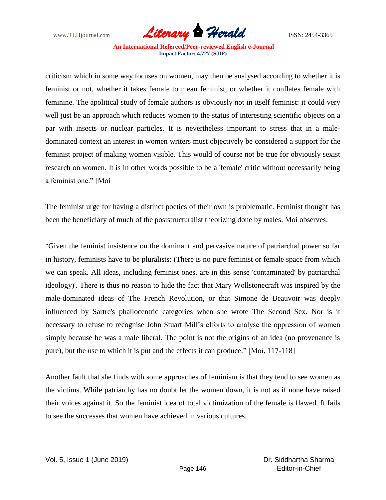

criticism which in some way focuses on women, may then be analysed according to whether it is feminist or not, whether it takes female to mean feminist, or whether it conflates female with feminine. The apolitical study of female authors is obviously not in itself feminist: it could very well just be an approach which reduces women to the status of interesting scientific objects on a par with insects or nuclear particles. It is nevertheless important to stress that in a maledominated context an interest in women writers must objectively be considered a support for the feminist project of making women visible. This would of course not be true for obviously sexist research on women. It is in other words possible to be a 'female' critic without necessarily being a feminist one." [Moi

The feminist urge for having a distinct poetics of their own is problematic. Feminist thought has been the beneficiary of much of the poststructuralist theorizing done by males. Moi observes:

"Given the feminist insistence on the dominant and pervasive nature of patriarchal power so far in history, feminists have to be pluralists: (There is no pure feminist or female space from which we can speak. All ideas, including feminist ones, are in this sense 'contaminated' by patriarchal ideology)'. There is thus no reason to hide the fact that Mary Wollstonecraft was inspired by the male-dominated ideas of The French Revolution, or that Simone de Beauvoir was deeply influenced by Sartre's phallocentric categories when she wrote The Second Sex. Nor is it necessary to refuse to recognise John Stuart Mill"s efforts to analyse the oppression of women simply because he was a male liberal. The point is not the origins of an idea (no provenance is pure), but the use to which it is put and the effects it can produce." [Moi, 117-118]

Another fault that she finds with some approaches of feminism is that they tend to see women as the victims. While patriarchy has no doubt let the women down, it is not as if none have raised their voices against it. So the feminist idea of total victimization of the female is flawed. It fails to see the successes that women have achieved in various cultures.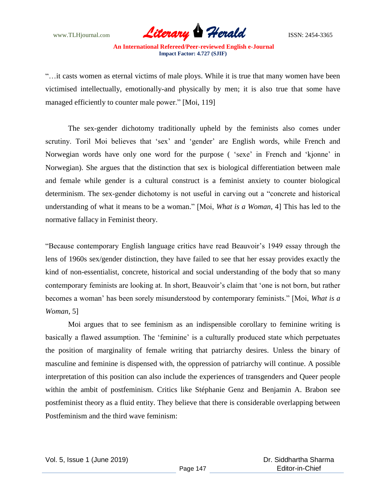

"…it casts women as eternal victims of male ploys. While it is true that many women have been victimised intellectually, emotionally-and physically by men; it is also true that some have managed efficiently to counter male power." [Moi, 119]

The sex-gender dichotomy traditionally upheld by the feminists also comes under scrutiny. Toril Moi believes that 'sex' and 'gender' are English words, while French and Norwegian words have only one word for the purpose ( "sexe" in French and "kjonne" in Norwegian). She argues that the distinction that sex is biological differentiation between male and female while gender is a cultural construct is a feminist anxiety to counter biological determinism. The sex-gender dichotomy is not useful in carving out a "concrete and historical understanding of what it means to be a woman." [Moi, *What is a Woman*, 4] This has led to the normative fallacy in Feminist theory.

"Because contemporary English language critics have read Beauvoir"s 1949 essay through the lens of 1960s sex/gender distinction, they have failed to see that her essay provides exactly the kind of non-essentialist, concrete, historical and social understanding of the body that so many contemporary feminists are looking at. In short, Beauvoir"s claim that "one is not born, but rather becomes a woman" has been sorely misunderstood by contemporary feminists." [Moi, *What is a Woman,* 5]

Moi argues that to see feminism as an indispensible corollary to feminine writing is basically a flawed assumption. The 'feminine' is a culturally produced state which perpetuates the position of marginality of female writing that patriarchy desires. Unless the binary of masculine and feminine is dispensed with, the oppression of patriarchy will continue. A possible interpretation of this position can also include the experiences of transgenders and Queer people within the ambit of postfeminism. Critics like Stéphanie Genz and Benjamin A. Brabon see postfeminist theory as a fluid entity. They believe that there is considerable overlapping between Postfeminism and the third wave feminism: